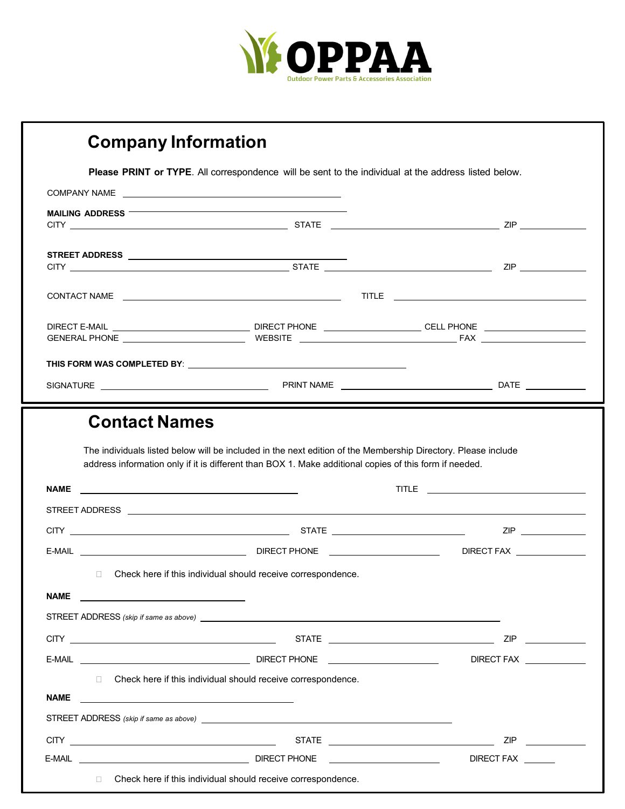

| <b>Company Information</b> |                                                                                                                                                                                                                                |                                           |
|----------------------------|--------------------------------------------------------------------------------------------------------------------------------------------------------------------------------------------------------------------------------|-------------------------------------------|
|                            | Please PRINT or TYPE. All correspondence will be sent to the individual at the address listed below.                                                                                                                           |                                           |
|                            | COMPANY NAME                                                                                                                                                                                                                   |                                           |
| <b>MAILING ADDRESS</b>     |                                                                                                                                                                                                                                |                                           |
|                            |                                                                                                                                                                                                                                |                                           |
|                            |                                                                                                                                                                                                                                |                                           |
|                            |                                                                                                                                                                                                                                |                                           |
|                            |                                                                                                                                                                                                                                |                                           |
|                            |                                                                                                                                                                                                                                |                                           |
|                            |                                                                                                                                                                                                                                |                                           |
|                            | THIS FORM WAS COMPLETED BY: Network and the state of the state of the state of the state of the state of the state of the state of the state of the state of the state of the state of the state of the state of the state of  |                                           |
|                            |                                                                                                                                                                                                                                |                                           |
|                            | The individuals listed below will be included in the next edition of the Membership Directory. Please include<br>address information only if it is different than BOX 1. Make additional copies of this form if needed.        |                                           |
|                            |                                                                                                                                                                                                                                |                                           |
|                            |                                                                                                                                                                                                                                |                                           |
|                            |                                                                                                                                                                                                                                | E-MAIL <b>E-MAIL E-MAIL E-MAIL E-MAIL</b> |
| $\Box$                     | Check here if this individual should receive correspondence.                                                                                                                                                                   |                                           |
| <b>NAME</b>                |                                                                                                                                                                                                                                |                                           |
|                            | STREET ADDRESS (skip if same as above) example and the state of the state of the state of the state of the state of the state of the state of the state of the state of the state of the state of the state of the state of th |                                           |
|                            |                                                                                                                                                                                                                                |                                           |
|                            |                                                                                                                                                                                                                                |                                           |
|                            | □ Check here if this individual should receive correspondence.                                                                                                                                                                 |                                           |
| <b>NAME</b>                |                                                                                                                                                                                                                                |                                           |
|                            |                                                                                                                                                                                                                                |                                           |
|                            |                                                                                                                                                                                                                                |                                           |
| $\Box$                     | Check here if this individual should receive correspondence.                                                                                                                                                                   | <b>DIRECT FAX</b>                         |